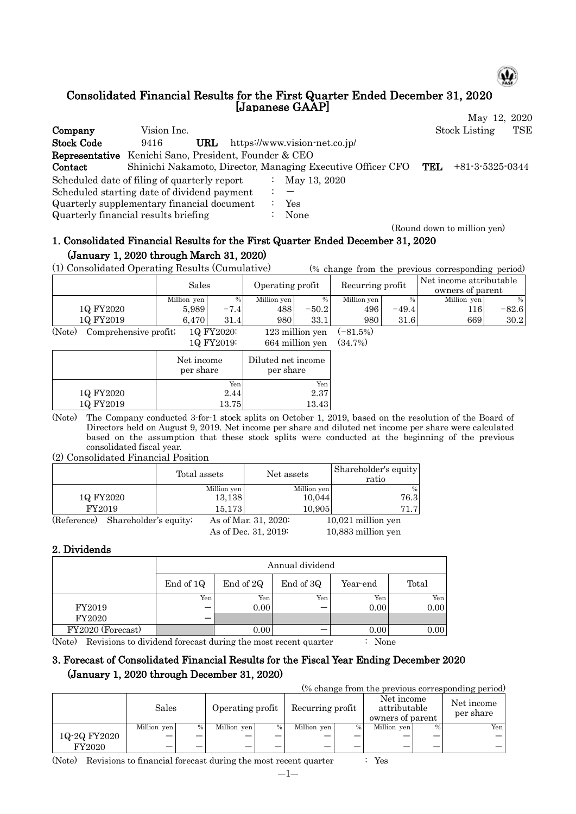

#### Consolidated Financial Results for the First Quarter Ended December 31, 2020 [Japanese GAAP] May 12, 2020

**Company** Vision Inc. Stock Listing TSE Stock Code 9416 URL https://www.vision-net.co.jp/ Representative Kenichi Sano, President, Founder & CEO Contact Shinichi Nakamoto, Director, Managing Executive Officer CFO TEL +81-3-5325-0344 Scheduled date of filing of quarterly report : May 13, 2020 Scheduled starting date of dividend payment  $\cdot$ Quarterly supplementary financial document : Yes Quarterly financial results briefing : None

(Round down to million yen)

# 1. Consolidated Financial Results for the First Quarter Ended December 31, 2020 (January 1, 2020 through March 31, 2020)

(1) Consolidated Operating Results (Cumulative) (% change from the previous corresponding period)

|           | Sales       |                   |                              | Recurring profit<br>Operating profit |                             |         | Net income attributable<br>owners of parent |         |
|-----------|-------------|-------------------|------------------------------|--------------------------------------|-----------------------------|---------|---------------------------------------------|---------|
|           | Million yen | $\%$              | Million yen                  |                                      | Million yen                 | %       | Million yen                                 | %       |
| 1Q FY2020 | 5.989       | $-7$<br>$\cdot$ 4 | 488                          | $-50.2$                              | 496                         | $-49.4$ | 1161                                        | $-82.6$ |
| 1Q FY2019 | 6.470       | 31.4              | 980                          | 33.1                                 | 980                         | 31.6    | 6691                                        | 30.2    |
| (27)      | $\alpha$    | 10 T170000        | $\cdot$ 11 $\cdot$<br>$\sim$ |                                      | $\sim$ $\sim$ $\sim$ $\sim$ |         |                                             |         |

(Note) Comprehensive profit; 1Q FY2020: 123 million yen (-81.5%) 1Q FY2019: 664 million yen (34.7%)

|           | Net income<br>per share | Diluted net income<br>per share |
|-----------|-------------------------|---------------------------------|
|           | Yen                     | Yen                             |
| 1Q FY2020 | 2.44                    | 2.37                            |
| 1Q FY2019 | 13.75                   | 13.43                           |

(Note) The Company conducted 3-for-1 stock splits on October 1, 2019, based on the resolution of the Board of Directors held on August 9, 2019. Net income per share and diluted net income per share were calculated based on the assumption that these stock splits were conducted at the beginning of the previous consolidated fiscal year.

### (2) Consolidated Financial Position

|           |                                   | Total assets | Net assets           |             | Shareholder's equity<br>ratio |
|-----------|-----------------------------------|--------------|----------------------|-------------|-------------------------------|
|           |                                   | Million yen  |                      | Million yen | $\%$                          |
| 1Q FY2020 |                                   | 13,138       |                      | 10,044      | 76.3                          |
|           | FY2019                            | 15,173       |                      | 10,905      | 71.7                          |
|           | (Reference) Shareholder's equity; |              | As of Mar. 31, 2020: |             | $10,021$ million yen          |
|           |                                   |              | As of Dec. 31, 2019: |             | 10.883 million ven            |

2. Dividends

|                   |           | Annual dividend |           |          |       |  |  |  |  |
|-------------------|-----------|-----------------|-----------|----------|-------|--|--|--|--|
|                   | End of 1Q | End of 2Q       | End of 3Q | Year-end | Total |  |  |  |  |
|                   | Yen       | Yen.            | Yen       | Yen      | Yen   |  |  |  |  |
| FY2019            |           | 0.00            |           | 0.00     | 0.00  |  |  |  |  |
| FY2020            |           |                 |           |          |       |  |  |  |  |
| FY2020 (Forecast) |           | 0.00            |           | 0.00     | 0.00  |  |  |  |  |

(Note) Revisions to dividend forecast during the most recent quarter : None

## 3. Forecast of Consolidated Financial Results for the Fiscal Year Ending December 2020 (January 1, 2020 through December 31, 2020)

(% change from the previous corresponding period)

|              | Sales       |      | Operating profit |      | Recurring profit |   | Net income<br>attributable<br>owners of parent |        | Net income<br>per share |
|--------------|-------------|------|------------------|------|------------------|---|------------------------------------------------|--------|-------------------------|
|              | Million yen | $\%$ | Million yen      | $\%$ | Million yen      | % | Million yen                                    | $\%$ . | Yen                     |
| 1Q-2Q FY2020 |             | –    | -                |      |                  |   | –                                              |        | — 1                     |
| FY2020       |             | -    | –                |      |                  |   | –                                              |        |                         |

(Note) Revisions to financial forecast during the most recent quarter : Yes